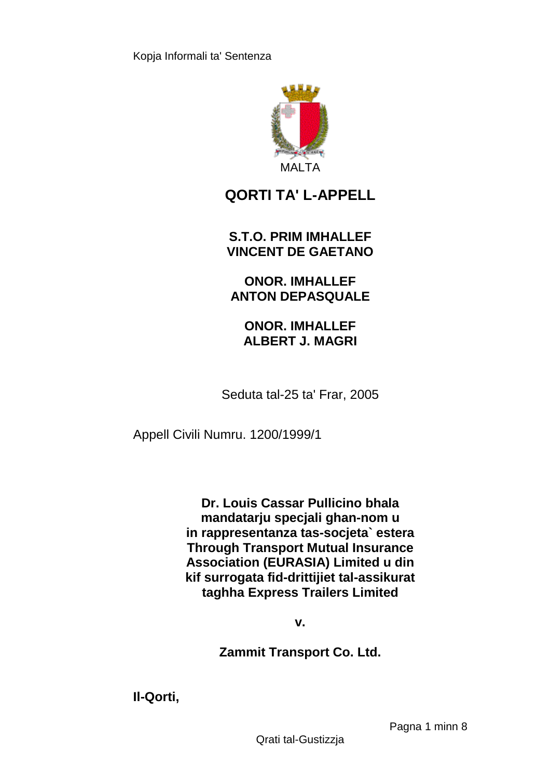

# **QORTI TA' L-APPELL**

**S.T.O. PRIM IMHALLEF VINCENT DE GAETANO**

**ONOR. IMHALLEF ANTON DEPASQUALE**

**ONOR. IMHALLEF ALBERT J. MAGRI**

Seduta tal-25 ta' Frar, 2005

Appell Civili Numru. 1200/1999/1

**Dr. Louis Cassar Pullicino bhala mandatarju specjali ghan-nom u in rappresentanza tas-socjeta` estera Through Transport Mutual Insurance Association (EURASIA) Limited u din kif surrogata fid-drittijiet tal-assikurat taghha Express Trailers Limited** 

**v.**

**Zammit Transport Co. Ltd.** 

**Il-Qorti,**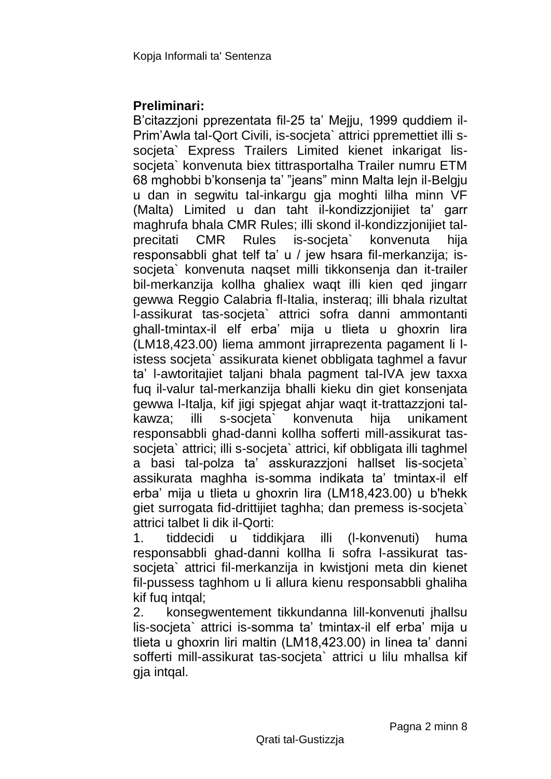## **Preliminari:**

B'citazzjoni pprezentata fil-25 ta' Mejju, 1999 quddiem il-Prim'Awla tal-Qort Civili, is-socjeta` attrici ppremettiet illi ssocieta` Express Trailers Limited kienet inkarigat lissocjeta` konvenuta biex tittrasportalha Trailer numru ETM 68 mghobbi b'konsenja ta' "jeans" minn Malta lejn il-Belgju u dan in segwitu tal-inkargu gja moghti lilha minn VF (Malta) Limited u dan taht il-kondizzjonijiet ta' garr maghrufa bhala CMR Rules; illi skond il-kondizzjonijiet talprecitati CMR Rules is-socjeta` konvenuta hija responsabbli ghat telf ta' u / jew hsara fil-merkanzija; issocjeta` konvenuta naqset milli tikkonsenja dan it-trailer bil-merkanzija kollha ghaliex waqt illi kien qed jingarr gewwa Reggio Calabria fl-Italia, insteraq; illi bhala rizultat l-assikurat tas-socjeta` attrici sofra danni ammontanti ghall-tmintax-il elf erba' mija u tlieta u ghoxrin lira (LM18,423.00) liema ammont jirraprezenta pagament li listess socjeta` assikurata kienet obbligata taghmel a favur ta' l-awtoritajiet taljani bhala pagment tal-IVA jew taxxa fuq il-valur tal-merkanzija bhalli kieku din giet konsenjata gewwa l-Italja, kif jigi spjegat ahjar waqt it-trattazzjoni talkawza; illi s-socjeta` konvenuta hija unikament responsabbli ghad-danni kollha sofferti mill-assikurat tassocjeta` attrici; illi s-socjeta` attrici, kif obbligata illi taghmel a basi tal-polza ta' asskurazzjoni hallset lis-socjeta` assikurata maghha is-somma indikata ta' tmintax-il elf erba' mija u tlieta u ghoxrin lira (LM18,423.00) u b'hekk giet surrogata fid-drittijiet taghha; dan premess is-socjeta` attrici talbet li dik il-Qorti:

1. tiddecidi u tiddikjara illi (l-konvenuti) huma responsabbli ghad-danni kollha li sofra l-assikurat tassocjeta` attrici fil-merkanzija in kwistjoni meta din kienet fil-pussess taghhom u li allura kienu responsabbli ghaliha kif fuq intqal;

2. konsegwentement tikkundanna lill-konvenuti jhallsu lis-socjeta` attrici is-somma ta' tmintax-il elf erba' mija u tlieta u ghoxrin liri maltin (LM18,423.00) in linea ta' danni sofferti mill-assikurat tas-socjeta` attrici u lilu mhallsa kif gia intgal.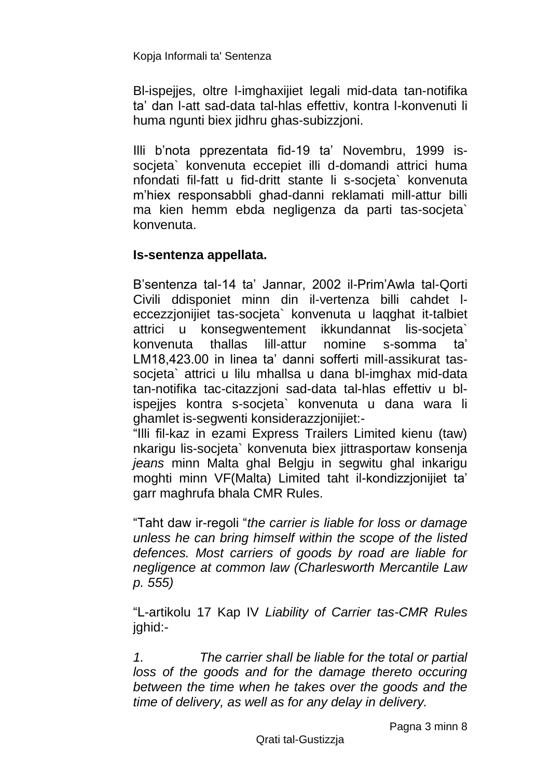BI-ispejies, oltre I-imghaxijiet legali mid-data tan-notifika ta' dan l-att sad-data tal-hlas effettiv, kontra l-konvenuti li huma ngunti biex jidhru ghas-subizzjoni.

Illi b'nota pprezentata fid-19 ta' Novembru, 1999 issocjeta` konvenuta eccepiet illi d-domandi attrici huma nfondati fil-fatt u fid-dritt stante li s-socjeta` konvenuta m'hiex responsabbli ghad-danni reklamati mill-attur billi ma kien hemm ebda negligenza da parti tas-socjeta` konvenuta.

## **Is-sentenza appellata.**

B'sentenza tal-14 ta' Jannar, 2002 il-Prim'Awla tal-Qorti Civili ddisponiet minn din il-vertenza billi cahdet leccezzjonijiet tas-socjeta` konvenuta u laqghat it-talbiet attrici u konsegwentement ikkundannat lis-socjeta` konvenuta thallas lill-attur nomine s-somma ta' LM18,423.00 in linea ta' danni sofferti mill-assikurat tassocjeta` attrici u lilu mhallsa u dana bl-imghax mid-data tan-notifika tac-citazzjoni sad-data tal-hlas effettiv u blispejjes kontra s-socjeta` konvenuta u dana wara li ghamlet is-segwenti konsiderazzjonijiet:-

"Illi fil-kaz in ezami Express Trailers Limited kienu (taw) nkarigu lis-socjeta` konvenuta biex jittrasportaw konsenja *jeans* minn Malta ghal Belgju in segwitu ghal inkarigu moghti minn VF(Malta) Limited taht il-kondizzjonijiet ta' garr maghrufa bhala CMR Rules.

"Taht daw ir-regoli "*the carrier is liable for loss or damage unless he can bring himself within the scope of the listed defences. Most carriers of goods by road are liable for negligence at common law (Charlesworth Mercantile Law p. 555)*

"L-artikolu 17 Kap IV *Liability of Carrier tas-CMR Rules*  jghid:-

*1. The carrier shall be liable for the total or partial loss of the goods and for the damage thereto occuring between the time when he takes over the goods and the time of delivery, as well as for any delay in delivery.*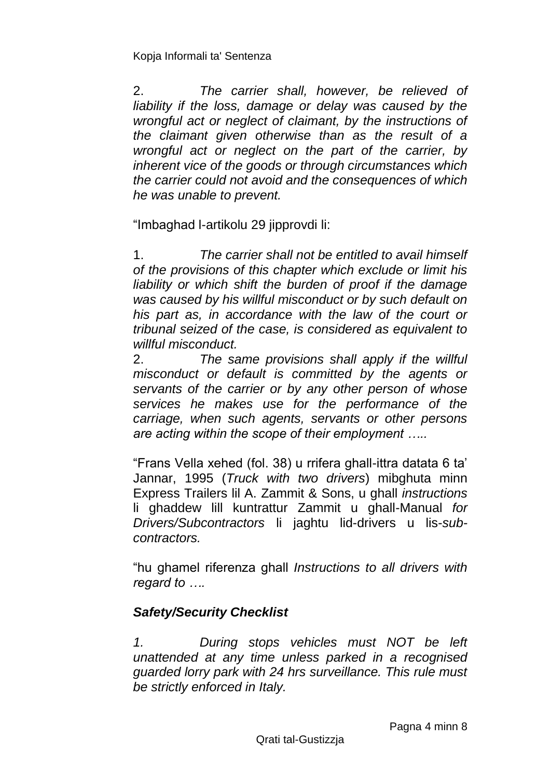2. *The carrier shall, however, be relieved of*  liability if the loss, damage or delay was caused by the *wrongful act or neglect of claimant, by the instructions of the claimant given otherwise than as the result of a wrongful act or neglect on the part of the carrier, by inherent vice of the goods or through circumstances which the carrier could not avoid and the consequences of which he was unable to prevent.* 

"Imbaghad l-artikolu 29 jipprovdi li:

1. *The carrier shall not be entitled to avail himself of the provisions of this chapter which exclude or limit his liability or which shift the burden of proof if the damage was caused by his willful misconduct or by such default on his part as, in accordance with the law of the court or tribunal seized of the case, is considered as equivalent to willful misconduct.* 

2. *The same provisions shall apply if the willful misconduct or default is committed by the agents or servants of the carrier or by any other person of whose services he makes use for the performance of the carriage, when such agents, servants or other persons are acting within the scope of their employment …..*

"Frans Vella xehed (fol. 38) u rrifera ghall-ittra datata 6 ta' Jannar, 1995 (*Truck with two drivers*) mibghuta minn Express Trailers lil A. Zammit & Sons, u ghall *instructions* li ghaddew lill kuntrattur Zammit u ghall-Manual *for Drivers/Subcontractors* li jaghtu lid-drivers u lis-*subcontractors.*

"hu ghamel riferenza ghall *Instructions to all drivers with regard to ….*

### *Safety/Security Checklist*

*1. During stops vehicles must NOT be left unattended at any time unless parked in a recognised guarded lorry park with 24 hrs surveillance. This rule must be strictly enforced in Italy.*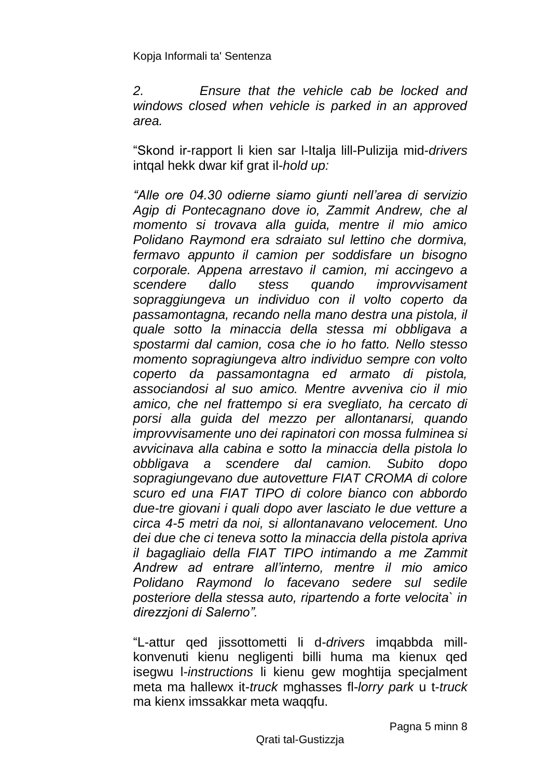*2. Ensure that the vehicle cab be locked and windows closed when vehicle is parked in an approved area.*

"Skond ir-rapport li kien sar l-Italja lill-Pulizija mid-*drivers* intqal hekk dwar kif grat il-*hold up:*

*"Alle ore 04.30 odierne siamo giunti nell'area di servizio Agip di Pontecagnano dove io, Zammit Andrew, che al momento si trovava alla guida, mentre il mio amico Polidano Raymond era sdraiato sul lettino che dormiva, fermavo appunto il camion per soddisfare un bisogno corporale. Appena arrestavo il camion, mi accingevo a scendere dallo stess quando improvvisament sopraggiungeva un individuo con il volto coperto da passamontagna, recando nella mano destra una pistola, il quale sotto la minaccia della stessa mi obbligava a spostarmi dal camion, cosa che io ho fatto. Nello stesso momento sopragiungeva altro individuo sempre con volto coperto da passamontagna ed armato di pistola, associandosi al suo amico. Mentre avveniva cio il mio amico, che nel frattempo si era svegliato, ha cercato di porsi alla guida del mezzo per allontanarsi, quando improvvisamente uno dei rapinatori con mossa fulminea si avvicinava alla cabina e sotto la minaccia della pistola lo obbligava a scendere dal camion. Subito dopo sopragiungevano due autovetture FIAT CROMA di colore scuro ed una FIAT TIPO di colore bianco con abbordo due-tre giovani i quali dopo aver lasciato le due vetture a circa 4-5 metri da noi, si allontanavano velocement. Uno dei due che ci teneva sotto la minaccia della pistola apriva il bagagliaio della FIAT TIPO intimando a me Zammit Andrew ad entrare all'interno, mentre il mio amico Polidano Raymond lo facevano sedere sul sedile posteriore della stessa auto, ripartendo a forte velocita` in direzzjoni di Salerno".*

"L-attur qed jissottometti li d-*drivers* imqabbda millkonvenuti kienu negligenti billi huma ma kienux qed isegwu l-*instructions* li kienu gew moghtija specjalment meta ma hallewx it-*truck* mghasses fl-*lorry park* u t-*truck* ma kienx imssakkar meta waqqfu.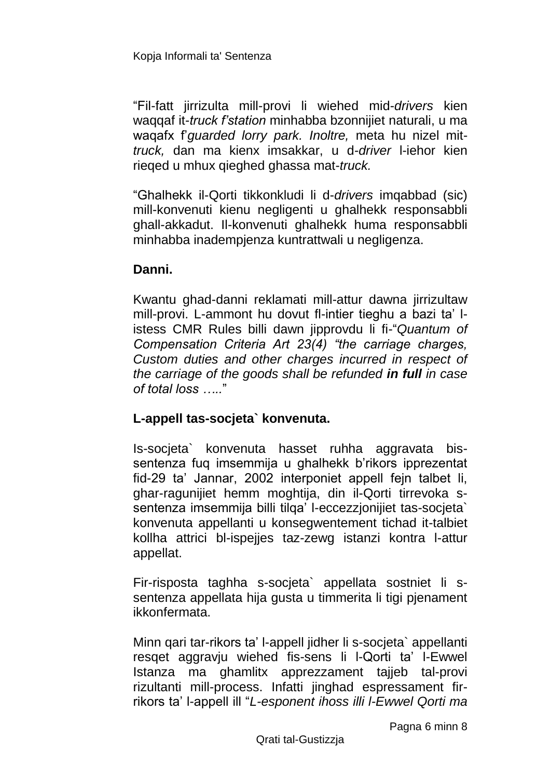"Fil-fatt jirrizulta mill-provi li wiehed mid-*drivers* kien waqqaf it-*truck f'station* minhabba bzonnijiet naturali, u ma waqafx f'*guarded lorry park. Inoltre,* meta hu nizel mit*truck,* dan ma kienx imsakkar, u d-*driver* l-iehor kien rieqed u mhux qieghed ghassa mat-*truck.*

"Ghalhekk il-Qorti tikkonkludi li d-*drivers* imqabbad (sic) mill-konvenuti kienu negligenti u ghalhekk responsabbli ghall-akkadut. Il-konvenuti ghalhekk huma responsabbli minhabba inadempjenza kuntrattwali u negligenza.

#### **Danni.**

Kwantu ghad-danni reklamati mill-attur dawna jirrizultaw mill-provi. L-ammont hu dovut fl-intier tieghu a bazi ta' listess CMR Rules billi dawn jipprovdu li fi-"*Quantum of Compensation Criteria Art 23(4) "the carriage charges, Custom duties and other charges incurred in respect of the carriage of the goods shall be refunded in full in case of total loss …..*"

### **L-appell tas-socjeta` konvenuta.**

Is-socjeta` konvenuta hasset ruhha aggravata bissentenza fuq imsemmija u ghalhekk b'rikors ipprezentat fid-29 ta' Jannar, 2002 interponiet appell fejn talbet li, ghar-ragunijiet hemm moghtija, din il-Qorti tirrevoka ssentenza imsemmija billi tilqa' l-eccezzjonijiet tas-socjeta` konvenuta appellanti u konsegwentement tichad it-talbiet kollha attrici bl-ispejjes taz-zewg istanzi kontra l-attur appellat.

Fir-risposta taghha s-socjeta` appellata sostniet li ssentenza appellata hija gusta u timmerita li tigi pjenament ikkonfermata.

Minn qari tar-rikors ta' l-appell jidher li s-socjeta` appellanti resqet aggravju wiehed fis-sens li l-Qorti ta' l-Ewwel Istanza ma ghamlitx apprezzament taijeb tal-provi rizultanti mill-process. Infatti jinghad espressament firrikors ta' l-appell ill "*L-esponent ihoss illi l-Ewwel Qorti ma*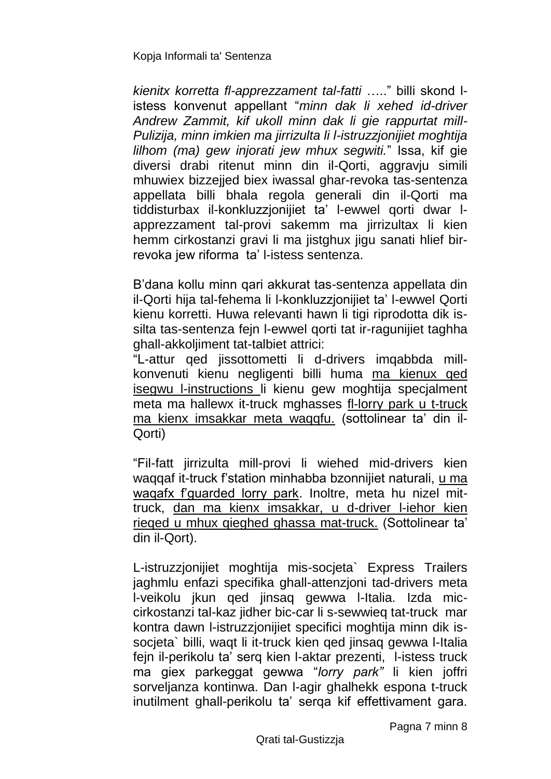*kienitx korretta fl-apprezzament tal-fatti* ….." billi skond listess konvenut appellant "*minn dak li xehed id-driver Andrew Zammit, kif ukoll minn dak li gie rappurtat mill-Pulizija, minn imkien ma jirrizulta li l-istruzzjonijiet moghtija lilhom (ma) gew injorati jew mhux segwiti.*" Issa, kif gie diversi drabi ritenut minn din il-Qorti, aggravju simili mhuwiex bizzejjed biex iwassal ghar-revoka tas-sentenza appellata billi bhala regola generali din il-Qorti ma tiddisturbax il-konkluzzjonijiet ta' l-ewwel qorti dwar lapprezzament tal-provi sakemm ma jirrizultax li kien hemm cirkostanzi gravi li ma jistghux jigu sanati hlief birrevoka jew riforma ta' l-istess sentenza.

B'dana kollu minn qari akkurat tas-sentenza appellata din il-Qorti hija tal-fehema li l-konkluzzjonijiet ta' l-ewwel Qorti kienu korretti. Huwa relevanti hawn li tigi riprodotta dik issilta tas-sentenza fejn l-ewwel qorti tat ir-ragunijiet taghha ghall-akkoljiment tat-talbiet attrici:

"L-attur qed jissottometti li d-drivers imqabbda millkonvenuti kienu negligenti billi huma ma kienux qed isegwu l-instructions li kienu gew moghtija specjalment meta ma hallewx it-truck mghasses fl-lorry park u t-truck ma kienx imsakkar meta waqqfu. (sottolinear ta' din il-Qorti)

"Fil-fatt jirrizulta mill-provi li wiehed mid-drivers kien waqqaf it-truck f'station minhabba bzonnijiet naturali, u ma waqafx f'guarded lorry park. Inoltre, meta hu nizel mittruck, dan ma kienx imsakkar, u d-driver l-iehor kien rieqed u mhux qieghed ghassa mat-truck. (Sottolinear ta' din il-Qort).

L-istruzzjonijiet moghtija mis-socjeta` Express Trailers jaghmlu enfazi specifika ghall-attenzjoni tad-drivers meta l-veikolu jkun qed jinsaq gewwa l-Italia. Izda miccirkostanzi tal-kaz jidher bic-car li s-sewwieq tat-truck mar kontra dawn l-istruzzjonijiet specifici moghtija minn dik issocjeta` billi, waqt li it-truck kien qed jinsaq gewwa l-Italia fejn il-perikolu ta' serq kien l-aktar prezenti, l-istess truck ma giex parkeggat gewwa "*lorry park"* li kien joffri sorveljanza kontinwa. Dan l-agir ghalhekk espona t-truck inutilment ghall-perikolu ta' serqa kif effettivament gara.

Pagna 7 minn 8